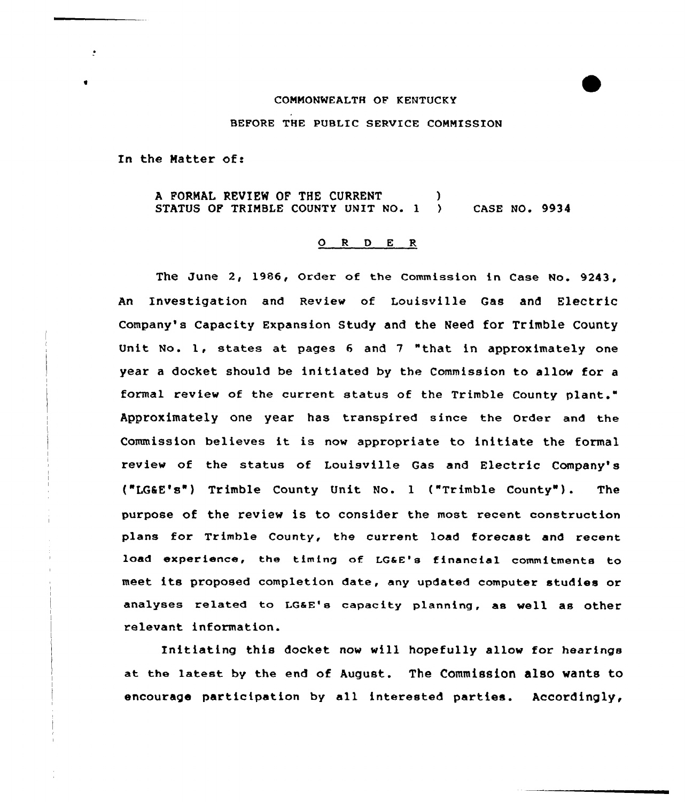## COMMONWEALTH OF KENTUCKY

BEFORE THE PUBLIC SERVICE COMMISSION

In the Matter of:

÷

A FORMAL REVIEW OF THE CURRENT (1998)<br>STATUS OF TRIMBLE COUNTY UNIT NO. 1 (1998) CASE NO. 9934 STATUS OF TRIMBLE COUNTY UNIT NO. 1

## $O$  R D E R

The June 2, 1986, Order of the Commission in Case No. 9243, An Investigation and Review of Louisville Gas and Electric Company's Capacity Expansion Study and the Need for Trimble County Unit No. 1, states at pages 6 and 7 "that in approximately one year a docket should be initiated by the Commission to allow for a formal review of the current status of the Trimble County plant." Approximately one year has transpired since the order and the Commission believes it is now appropriate to initiate the formal review of the status of Louisville Gas and Electric Company's ("LGIE's") Trimble County Unit No. <sup>1</sup> ("Trimble County" ). The purpose of the review is to consider the most recent construction plans for Trimble County, the current load forecast and recent lo<mark>ad experie</mark>nce, the timing of LG&E's financial commitments to meet its proposed completion date, any updated computer studies or analyses related to LG&E's capacity planning, as well as other relevant information.

Initiating this docket now vill hopefully allow for hearings at the latest by the end of August. The Commission also wants to encourage participation by all interested parties. Accordingly,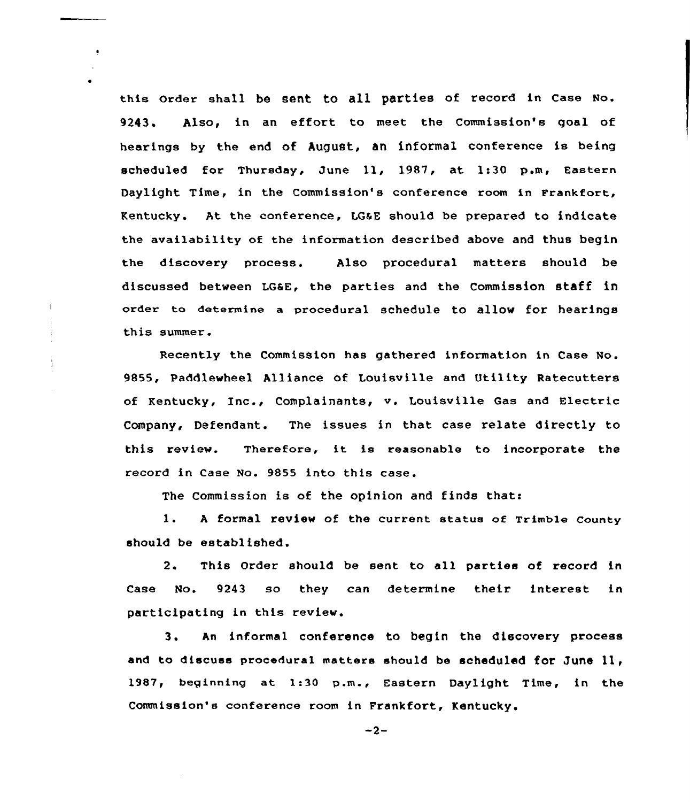this Order shall be sent to all parties of record in Case No. 9243. Also, in an effort to meet the Commission's goal of hearings by the end of August, an informal conference is being scheduled for Thursday, June ll, 1987, at 1:30 p.m, Eastern Daylight Time, in the Commission's conference room in Frankfort, Kentucky. At the conference, LGSE should be prepared to indicate the availability of the information described above and thus begin the discovery process. Also procedural matters should be discussed between LGaE, the parties and the Commission staff in order to determine a procedural schedule to allow for hearings this summer.

÷

Recently the Commission has gathered information in Case No. 9855, Paddlewheel Alliance of Louisville and Utility Ratecutters of Kentucky, Inc., Complainants, v. Louisville Gas and Electric Company, Defendant. The issues in that case relate directly to this review. Therefore, it is reasonable to incorporate the record in Case No. 9855 into this case.

The Commission is of the opinion and finds that:

1. <sup>A</sup> formal review of the current status of Trimble county should be established.

2. This Order should be sent to all parties of record in Case No. 9243 so they can determine their interest in participating in this review.

3. An informal conference to begin the discovery process and to discuss procedural matters should be scheduled for June 11, 1987, beginning at 1:30 p.m., Eastern Daylight Time, in the Commission's conference room in Frankfort, Kentucky.

 $-2-$